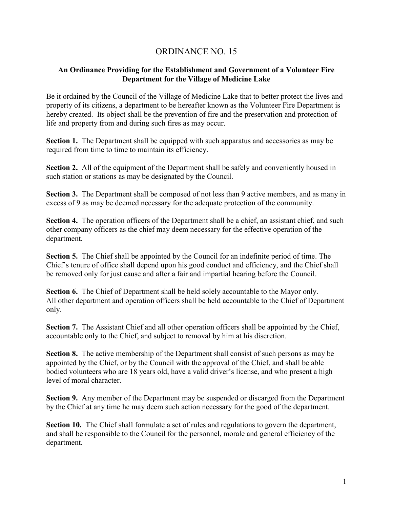## ORDINANCE NO. 15

## **An Ordinance Providing for the Establishment and Government of a Volunteer Fire Department for the Village of Medicine Lake**

Be it ordained by the Council of the Village of Medicine Lake that to better protect the lives and property of its citizens, a department to be hereafter known as the Volunteer Fire Department is hereby created. Its object shall be the prevention of fire and the preservation and protection of life and property from and during such fires as may occur.

**Section 1.** The Department shall be equipped with such apparatus and accessories as may be required from time to time to maintain its efficiency.

**Section 2.** All of the equipment of the Department shall be safely and conveniently housed in such station or stations as may be designated by the Council.

**Section 3.** The Department shall be composed of not less than 9 active members, and as many in excess of 9 as may be deemed necessary for the adequate protection of the community.

**Section 4.** The operation officers of the Department shall be a chief, an assistant chief, and such other company officers as the chief may deem necessary for the effective operation of the department.

**Section 5.** The Chief shall be appointed by the Council for an indefinite period of time. The Chief's tenure of office shall depend upon his good conduct and efficiency, and the Chief shall be removed only for just cause and after a fair and impartial hearing before the Council.

**Section 6.** The Chief of Department shall be held solely accountable to the Mayor only. All other department and operation officers shall be held accountable to the Chief of Department only.

**Section 7.** The Assistant Chief and all other operation officers shall be appointed by the Chief, accountable only to the Chief, and subject to removal by him at his discretion.

**Section 8.** The active membership of the Department shall consist of such persons as may be appointed by the Chief, or by the Council with the approval of the Chief, and shall be able bodied volunteers who are 18 years old, have a valid driver's license, and who present a high level of moral character.

**Section 9.** Any member of the Department may be suspended or discarged from the Department by the Chief at any time he may deem such action necessary for the good of the department.

**Section 10.** The Chief shall formulate a set of rules and regulations to govern the department, and shall be responsible to the Council for the personnel, morale and general efficiency of the department.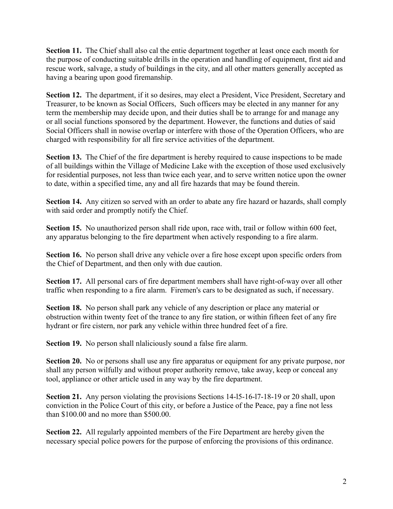**Section 11.** The Chief shall also cal the entie department together at least once each month for the purpose of conducting suitable drills in the operation and handling of equipment, first aid and rescue work, salvage, a study of buildings in the city, and all other matters generally accepted as having a bearing upon good firemanship.

**Section 12.** The department, if it so desires, may elect a President, Vice President, Secretary and Treasurer, to be known as Social Officers, Such officers may be elected in any manner for any term the membership may decide upon, and their duties shall be to arrange for and manage any or all social functions sponsored by the department. However, the functions and duties of said Social Officers shall in nowise overlap or interfere with those of the Operation Officers, who are charged with responsibility for all fire service activities of the department.

**Section 13.** The Chief of the fire department is hereby required to cause inspections to be made of all buildings within the Village of Medicine Lake with the exception of those used exclusively for residential purposes, not less than twice each year, and to serve written notice upon the owner to date, within a specified time, any and all fire hazards that may be found therein.

Section 14. Any citizen so served with an order to abate any fire hazard or hazards, shall comply with said order and promptly notify the Chief.

**Section 15.** No unauthorized person shall ride upon, race with, trail or follow within 600 feet, any apparatus belonging to the fire department when actively responding to a fire alarm.

**Section 16.** No person shall drive any vehicle over a fire hose except upon specific orders from the Chief of Department, and then only with due caution.

**Section 17.** All personal cars of fire department members shall have right-of-way over all other traffic when responding to a fire alarm. Firemen's cars to be designated as such, if necessary.

**Section 18.** No person shall park any vehicle of any description or place any material or obstruction within twenty feet of the trance to any fire station, or within fifteen feet of any fire hydrant or fire cistern, nor park any vehicle within three hundred feet of a fire.

**Section 19.** No person shall nlaliciously sound a false fire alarm.

**Section 20.** No or persons shall use any fire apparatus or equipment for any private purpose, nor shall any person wilfully and without proper authority remove, take away, keep or conceal any tool, appliance or other article used in any way by the fire department.

**Section 21.** Any person violating the provisions Sections 14-l5-16-l7-18-19 or 20 shall, upon conviction in the Police Court of this city, or before a Justice of the Peace, pay a fine not less than \$100.00 and no more than \$500.00.

**Section 22.** All regularly appointed members of the Fire Department are hereby given the necessary special police powers for the purpose of enforcing the provisions of this ordinance.